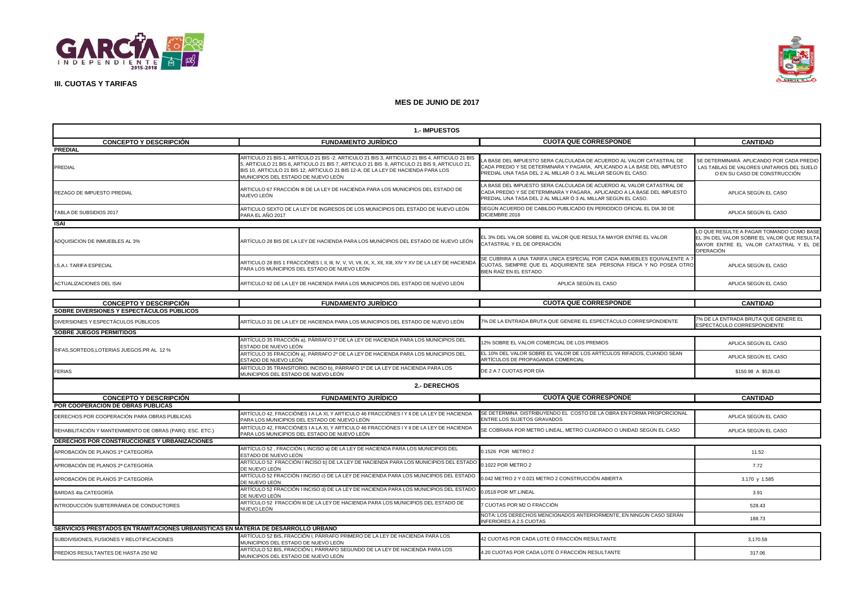



| <b>1.- IMPUESTOS</b>                                                              |                                                                                                                                                                                                                                                                                                                        |                                                                                                                                                                                                                 |                                                                                                                                               |  |
|-----------------------------------------------------------------------------------|------------------------------------------------------------------------------------------------------------------------------------------------------------------------------------------------------------------------------------------------------------------------------------------------------------------------|-----------------------------------------------------------------------------------------------------------------------------------------------------------------------------------------------------------------|-----------------------------------------------------------------------------------------------------------------------------------------------|--|
| <b>CONCEPTO Y DESCRIPCIÓN</b>                                                     | <b>FUNDAMENTO JURÍDICO</b>                                                                                                                                                                                                                                                                                             | <b>CUOTA QUE CORRESPONDE</b>                                                                                                                                                                                    | <b>CANTIDAD</b>                                                                                                                               |  |
| <b>PREDIAL</b>                                                                    |                                                                                                                                                                                                                                                                                                                        |                                                                                                                                                                                                                 |                                                                                                                                               |  |
| PREDIAL                                                                           | ARTICULO 21 BIS-1, ARTÍCULO 21 BIS -2. ARTICULO 21 BIS 3, ARTICULO 21 BIS 4, ARTICULO 21 BIS<br>5, ARTICULO 21 BIS 6, ARTICULO 21 BIS 7, ARTICULO 21 BIS 8, ARTICULO 21 BIS 9, ARTICULO 21,<br>BIS 10, ARTICULO 21 BIS 12, ARTICULO 21 BIS 12-A, DE LA LEY DE HACIENDA PARA LOS<br>MUNICIPIOS DEL ESTADO DE NUEVO LEÓN | A BASE DEL IMPUESTO SERA CALCULADA DE ACUERDO AL VALOR CATASTRAL DE<br>CADA PREDIO Y SE DETERMINARA Y PAGARA, APLICANDO A LA BASE DEL IMPUESTO<br>PREDIAL UNA TASA DEL 2 AL MILLAR Ó 3 AL MILLAR SEGÚN EL CASO. | SE DETERMINARÁ APLICANDO POR CADA PREDIC<br>LAS TABLAS DE VALORES UNITARIOS DEL SUELO<br>O EN SU CASO DE CONSTRUCCIÓN                         |  |
| REZAGO DE IMPUESTO PREDIAL                                                        | ARTICULO 67 FRACCIÓN III DE LA LEY DE HACIENDA PARA LOS MUNICIPIOS DEL ESTADO DE<br>NUEVO LEÓN                                                                                                                                                                                                                         | A BASE DEL IMPUESTO SERA CALCULADA DE ACUERDO AL VALOR CATASTRAL DE<br>CADA PREDIO Y SE DETERMINARA Y PAGARA, APLICANDO A LA BASE DEL IMPUESTO<br>PREDIAL UNA TASA DEL 2 AL MILLAR Ó 3 AL MILLAR SEGÚN EL CASO. | APLICA SEGÚN EL CASO                                                                                                                          |  |
| TABLA DE SUBSIDIOS 2017                                                           | ARTICULO SEXTO DE LA LEY DE INGRESOS DE LOS MUNICIPIOS DEL ESTADO DE NUEVO LEÓN<br>PARA EL AÑO 2017                                                                                                                                                                                                                    | SEGÚN ACUERDO DE CABILDO PUBLICADO EN PERIODICO OFICIAL EL DIA 30 DE<br>DICIEMBRE 2016                                                                                                                          | APLICA SEGÚN EL CASO                                                                                                                          |  |
| <b>ISAI</b>                                                                       |                                                                                                                                                                                                                                                                                                                        |                                                                                                                                                                                                                 |                                                                                                                                               |  |
| ADQUISICION DE INMUEBLES AL 3%                                                    | ARTÍCULO 28 BIS DE LA LEY DE HACIENDA PARA LOS MUNICIPIOS DEL ESTADO DE NUEVO LEÓN                                                                                                                                                                                                                                     | EL 3% DEL VALOR SOBRE EL VALOR QUE RESULTA MAYOR ENTRE EL VALOR<br>CATASTRAL Y EL DE OPERACIÓN                                                                                                                  | LO QUE RESULTE A PAGAR TOMANDO COMO BASE<br>EL 3% DEL VALOR SOBRE EL VALOR QUE RESULTA<br>MAYOR ENTRE EL VALOR CATASTRAL Y EL DE<br>OPERACIÓN |  |
| I.S.A.I. TARIFA ESPECIAL                                                          | PARA LOS MUNICIPIOS DEL ESTADO DE NUEVO LEÓN                                                                                                                                                                                                                                                                           | SE CUBRIRA A UNA TARIFA UNICA ESPECIAL POR CADA INMUEBLES EQUIVALENTE A<br>CUOTAS, SIEMPRE QUE EL ADQUIRIENTE SEA PERSONA FÍSICA Y NO POSEA OTRO<br>BIEN RAÍZ EN EL ESTADO                                      | APLICA SEGÚN EL CASO                                                                                                                          |  |
| ACTUALIZACIONES DEL ISAI                                                          | ARTICULO 92 DE LA LEY DE HACIENDA PARA LOS MUNICIPIOS DEL ESTADO DE NUEVO LEÓN                                                                                                                                                                                                                                         | APLICA SEGÚN EL CASO                                                                                                                                                                                            | APLICA SEGÚN EL CASO                                                                                                                          |  |
|                                                                                   |                                                                                                                                                                                                                                                                                                                        |                                                                                                                                                                                                                 |                                                                                                                                               |  |
| <b>CONCEPTO Y DESCRIPCIÓN</b><br>SOBRE DIVERSIONES Y ESPECTACULOS PUBLICOS        | <b>FUNDAMENTO JURÍDICO</b>                                                                                                                                                                                                                                                                                             | <b>CUOTA QUE CORRESPONDE</b>                                                                                                                                                                                    | <b>CANTIDAD</b>                                                                                                                               |  |
| DIVERSIONES Y ESPECTÁCULOS PÚBLICOS                                               | ARTÍCULO 31 DE LA LEY DE HACIENDA PARA LOS MUNICIPIOS DEL ESTADO DE NUEVO LEÓN                                                                                                                                                                                                                                         | 7% DE LA ENTRADA BRUTA QUE GENERE EL ESPECTÁCULO CORRESPONDIENTE                                                                                                                                                | % DE LA ENTRADA BRUTA QUE GENERE EL<br>SPECTÁCULO CORRESPONDIENTE                                                                             |  |
| <b>SOBRE JUEGOS PERMITIDOS</b>                                                    |                                                                                                                                                                                                                                                                                                                        |                                                                                                                                                                                                                 |                                                                                                                                               |  |
| RIFAS, SORTEOS, LOTERIAS JUEGOS.PR AL 12 %                                        | ARTÍCULO 35 FRACCIÓN a), PÁRRAFO 1º DE LA LEY DE HACIENDA PARA LOS MUNICIPIOS DEL<br>ESTADO DE NUEVO LEÓN                                                                                                                                                                                                              | 12% SOBRE EL VALOR COMERCIAL DE LOS PREMIOS                                                                                                                                                                     | APLICA SEGÚN EL CASO                                                                                                                          |  |
|                                                                                   | ARTÍCULO 35 FRACCIÓN a), PÁRRAFO 2º DE LA LEY DE HACIENDA PARA LOS MUNICIPIOS DEL<br>ESTADO DE NUEVO LEÓN                                                                                                                                                                                                              | EL 10% DEL VALOR SOBRE EL VALOR DE LOS ARTÍCULOS RIFADOS, CUANDO SEAN<br>ARTÍCULOS DE PROPAGANDA COMERCIAL                                                                                                      | APLICA SEGÚN EL CASO                                                                                                                          |  |
| <b>FERIAS</b>                                                                     | ARTÍCULO 35 TRANSITORIO, INCISO b), PÁRRAFO 1º DE LA LEY DE HACIENDA PARA LOS<br><i>INUNICIPIOS DEL ESTADO DE NUEVO LEÓN</i>                                                                                                                                                                                           | DE 2 A 7 CUOTAS POR DÍA                                                                                                                                                                                         | \$150.98 A \$528.43                                                                                                                           |  |
|                                                                                   | 2.- DERECHOS                                                                                                                                                                                                                                                                                                           |                                                                                                                                                                                                                 |                                                                                                                                               |  |
| <b>CONCEPTO Y DESCRIPCIÓN</b>                                                     | <b>FUNDAMENTO JURÍDICO</b>                                                                                                                                                                                                                                                                                             | <b>CUOTA QUE CORRESPONDE</b>                                                                                                                                                                                    | <b>CANTIDAD</b>                                                                                                                               |  |
| POR COOPERACION DE OBRAS PUBLICAS                                                 |                                                                                                                                                                                                                                                                                                                        |                                                                                                                                                                                                                 |                                                                                                                                               |  |
| DERECHOS POR COOPERACIÓN PARA OBRAS PUBLICAS                                      | ARTÍCULO 42, FRACCIÓNES I A LA XI, Y ARTICULO 46 FRACCIÓNES I Y II DE LA LEY DE HACIENDA<br>PARA LOS MUNICIPIOS DEL ESTADO DE NUEVO LEÓN                                                                                                                                                                               | SE DETERMINA DISTRIBUYENDO EL COSTO DE LA OBRA EN FORMA PROPORCIONAL<br>ENTRE LOS SUJETOS GRAVADOS                                                                                                              | APLICA SEGÚN EL CASO                                                                                                                          |  |
| REHABILITACIÓN Y MANTENIMIENTO DE OBRAS (PARQ. ESC. ETC.)                         | ARTÍCULO 42, FRACCIÓNES I A LA XI, Y ARTICULO 46 FRACCIÓNES I Y II DE LA LEY DE HACIENDA<br>PARA LOS MUNICIPIOS DEL ESTADO DE NUEVO LEÓN                                                                                                                                                                               | SE COBRARA POR METRO LINEAL, METRO CUADRADO O UNIDAD SEGÚN EL CASO.                                                                                                                                             | APLICA SEGÚN EL CASO                                                                                                                          |  |
| DERECHOS POR CONSTRUCCIONES Y URBANIZACIONES                                      |                                                                                                                                                                                                                                                                                                                        |                                                                                                                                                                                                                 |                                                                                                                                               |  |
| APROBACIÓN DE PLANOS 1ª CATEGORÍA                                                 | ARTÍCULO 52, FRACCIÓN I, INCISO a) DE LA LEY DE HACIENDA PARA LOS MUNICIPIOS DEL<br>ESTADO DE NUEVO LEÓN                                                                                                                                                                                                               | 0.1526 POR METRO 2                                                                                                                                                                                              | 11.52                                                                                                                                         |  |
| APROBACIÓN DE PLANOS 2ª CATEGORÍA                                                 | ARTÍCULO 52 FRACCIÓN I INCISO b) DE LA LEY DE HACIENDA PARA LOS MUNICIPIOS DEL ESTADO<br>DE NUEVO LEÓN                                                                                                                                                                                                                 | 0.1022 POR METRO 2                                                                                                                                                                                              | 7.72                                                                                                                                          |  |
| APROBACIÓN DE PLANOS 3ª CATEGORÍA                                                 | ARTÍCULO 52 FRACCIÓN I INCISO c) DE LA LEY DE HACIENDA PARA LOS MUNICIPIOS DEL ESTADO<br>DE NUEVO LEÓN                                                                                                                                                                                                                 | 0.042 METRO 2 Y 0.021 METRO 2 CONSTRUCCIÓN ABIERTA                                                                                                                                                              | 3.170 y 1.585                                                                                                                                 |  |
| BARDAS 4ta CATEGORÍA                                                              | ARTÍCULO 52 FRACCIÓN I INCISO d) DE LA LEY DE HACIENDA PARA LOS MUNICIPIOS DEL ESTADO<br>DE NUEVO LEÓN                                                                                                                                                                                                                 | 0.0518 POR MT.LINEAL                                                                                                                                                                                            | 3.91                                                                                                                                          |  |
| INTRODUCCIÓN SUBTERRÁNEA DE CONDUCTORES                                           | ARTÍCULO 52 FRACCIÓN III DE LA LEY DE HACIENDA PARA LOS MUNICIPIOS DEL ESTADO DE<br>NUEVO LEÓN                                                                                                                                                                                                                         | <sup>7</sup> CUOTAS POR M2 O FRACCIÓN                                                                                                                                                                           | 528.43                                                                                                                                        |  |
|                                                                                   |                                                                                                                                                                                                                                                                                                                        | NOTA: LOS DERECHOS MENCIONADOS ANTERIORMENTE, EN NINGÚN CASO SERÁN<br><b>INFERIORES A 2.5 CUOTAS</b>                                                                                                            | 188.73                                                                                                                                        |  |
| SERVICIOS PRESTADOS EN TRAMITACIONES URBANÍSTICAS EN MATERIA DE DESARROLLO URBANO |                                                                                                                                                                                                                                                                                                                        |                                                                                                                                                                                                                 |                                                                                                                                               |  |
| SUBDIVISIONES, FUSIONES Y RELOTIFICACIONES                                        | ARTÍCULO 52 BIS, FRACCIÓN I, PÁRRAFO PRIMERO DE LA LEY DE HACIENDA PARA LOS<br>MUNICIPIOS DEL ESTADO DE NUEVO LEÓN                                                                                                                                                                                                     | 42 CUOTAS POR CADA LOTE Ó FRACCIÓN RESULTANTE                                                                                                                                                                   | 3,170.58                                                                                                                                      |  |
| PREDIOS RESULTANTES DE HASTA 250 M2                                               | ARTÍCULO 52 BIS, FRACCIÓN I, PÁRRAFO SEGUNDO DE LA LEY DE HACIENDA PARA LOS<br>MUNICIPIOS DEL ESTADO DE NUEVO LEÓN                                                                                                                                                                                                     | 4.20 CUOTAS POR CADA LOTE Ó FRACCIÓN RESULTANTE                                                                                                                                                                 | 317.06                                                                                                                                        |  |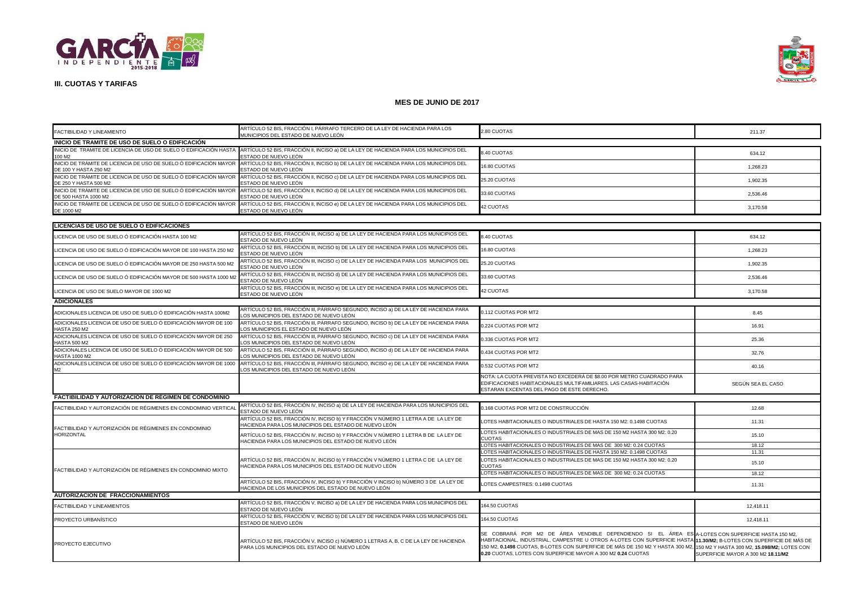



| FACTIBILIDAD Y LINEAMIENTO                                                                 | ARTÍCULO 52 BIS, FRACCIÓN I, PÁRRAFO TERCERO DE LA LEY DE HACIENDA PARA LOS<br>MUNICIPIOS DEL ESTADO DE NUEVO LEÓN                                                              | 2.80 CUOTAS                                                                                                                                                                                                                                                                                                                                                                                                        | 211.37                             |  |
|--------------------------------------------------------------------------------------------|---------------------------------------------------------------------------------------------------------------------------------------------------------------------------------|--------------------------------------------------------------------------------------------------------------------------------------------------------------------------------------------------------------------------------------------------------------------------------------------------------------------------------------------------------------------------------------------------------------------|------------------------------------|--|
| INICIO DE TRAMITE DE USO DE SUELO O EDIFICACIÓN                                            |                                                                                                                                                                                 |                                                                                                                                                                                                                                                                                                                                                                                                                    |                                    |  |
| 100 M2                                                                                     | INICIO DE TRAMITE DE LICENCIA DE USO DE SUELO O EDIFICACIÓN HASTA NATÍCULO 52 BIS, FRACCIÓN II, INCISO a) DE LA LEY DE HACIENDA PARA LOS MUNICIPIOS DEL<br>ESTADO DE NUEVO LEÓN | 8.40 CUOTAS                                                                                                                                                                                                                                                                                                                                                                                                        | 634.12                             |  |
| INICIO DE TRÁMITE DE LICENCIA DE USO DE SUELO Ó EDIFICACIÓN MAYOR<br>DE 100 Y HASTA 250 M2 | ARTÍCULO 52 BIS, FRACCIÓN II, INCISO b) DE LA LEY DE HACIENDA PARA LOS MUNICIPIOS DEL<br>ESTADO DE NUEVO LEÓN                                                                   | 16.80 CUOTAS                                                                                                                                                                                                                                                                                                                                                                                                       | 1,268.23                           |  |
| INICIO DE TRÁMITE DE LICENCIA DE USO DE SUELO Ó EDIFICACIÓN MAYOR<br>DE 250 Y HASTA 500 M2 | ARTÍCULO 52 BIS, FRACCIÓN II, INCISO c) DE LA LEY DE HACIENDA PARA LOS MUNICIPIOS DEL<br>ESTADO DE NUEVO LEÓN                                                                   | 25.20 CUOTAS                                                                                                                                                                                                                                                                                                                                                                                                       | 1,902.35                           |  |
| INICIO DE TRÁMITE DE LICENCIA DE USO DE SUELO Ó EDIFICACIÓN MAYOR<br>DE 500 HASTA 1000 M2  | ARTÍCULO 52 BIS, FRACCIÓN II, INCISO d) DE LA LEY DE HACIENDA PARA LOS MUNICIPIOS DEL<br>ESTADO DE NUEVO LEÓN                                                                   | 33.60 CUOTAS                                                                                                                                                                                                                                                                                                                                                                                                       | 2,536.46                           |  |
| INICIO DE TRÁMITE DE LICENCIA DE USO DE SUELO Ó EDIFICACIÓN MAYOR<br>DE 1000 M2            | ARTÍCULO 52 BIS, FRACCIÓN II, INCISO e) DE LA LEY DE HACIENDA PARA LOS MUNICIPIOS DEL<br>ESTADO DE NUEVO LEÓN                                                                   | <b>42 CUOTAS</b>                                                                                                                                                                                                                                                                                                                                                                                                   | 3.170.58                           |  |
| LICENCIAS DE USO DE SUELO O EDIFICACIONES                                                  |                                                                                                                                                                                 |                                                                                                                                                                                                                                                                                                                                                                                                                    |                                    |  |
| ICENCIA DE USO DE SUELO Ó EDIFICACIÓN HASTA 100 M2                                         | ARTÍCULO 52 BIS, FRACCIÓN III, INCISO a) DE LA LEY DE HACIENDA PARA LOS MUNICIPIOS DEL<br>ESTADO DE NUEVO LEÓN                                                                  | 8.40 CUOTAS                                                                                                                                                                                                                                                                                                                                                                                                        | 634.12                             |  |
| ICENCIA DE USO DE SUELO Ó EDIFICACIÓN MAYOR DE 100 HASTA 250 M2.                           | ARTÍCULO 52 BIS, FRACCIÓN III, INCISO b) DE LA LEY DE HACIENDA PARA LOS MUNICIPIOS DEL<br>ESTADO DE NUEVO LEÓN                                                                  | 16.80 CUOTAS                                                                                                                                                                                                                                                                                                                                                                                                       | 1,268.23                           |  |
| LICENCIA DE USO DE SUELO Ó EDIFICACIÓN MAYOR DE 250 HASTA 500 M2                           | ARTÍCULO 52 BIS, FRACCIÓN III, INCISO c) DE LA LEY DE HACIENDA PARA LOS MUNICIPIOS DEL<br>ESTADO DE NUEVO LEÓN                                                                  | 25.20 CUOTAS                                                                                                                                                                                                                                                                                                                                                                                                       | 1,902.35                           |  |
| LICENCIA DE USO DE SUELO Ó EDIFICACIÓN MAYOR DE 500 HASTA 1000 M2                          | ARTÍCULO 52 BIS, FRACCIÓN III, INCISO d) DE LA LEY DE HACIENDA PARA LOS MUNICIPIOS DEL<br>ESTADO DE NUEVO LEÓN                                                                  | 33.60 CUOTAS                                                                                                                                                                                                                                                                                                                                                                                                       | 2,536.46                           |  |
| LICENCIA DE USO DE SUELO MAYOR DE 1000 M2                                                  | ARTÍCULO 52 BIS, FRACCIÓN III, INCISO e) DE LA LEY DE HACIENDA PARA LOS MUNICIPIOS DEL<br>ESTADO DE NUEVO LEÓN                                                                  | 42 CUOTAS                                                                                                                                                                                                                                                                                                                                                                                                          | 3,170.58                           |  |
| <b>ADICIONALES</b>                                                                         |                                                                                                                                                                                 |                                                                                                                                                                                                                                                                                                                                                                                                                    |                                    |  |
| ADICIONALES LICENCIA DE USO DE SUELO Ó EDIFICACIÓN HASTA 100M2                             | ARTÍCULO 52 BIS, FRACCIÓN III, PÁRRAFO SEGUNDO, INCISO a) DE LA LEY DE HACIENDA PARA<br>OS MUNICIPIOS DEL ESTADO DE NUEVO LEÓN                                                  | 0.112 CUOTAS POR MT2                                                                                                                                                                                                                                                                                                                                                                                               | 8.45                               |  |
| ADICIONALES LICENCIA DE USO DE SUELO Ó EDIFICACIÓN MAYOR DE 100<br><b>HASTA 250 M2</b>     | ARTÍCULO 52 BIS, FRACCIÓN III, PÁRRAFO SEGUNDO, INCISO b) DE LA LEY DE HACIENDA PARA<br>LOS MUNICIPIOS EL ESTADO DE NUEVO LEÓN                                                  | 0.224 CUOTAS POR MT2                                                                                                                                                                                                                                                                                                                                                                                               | 16.91                              |  |
| ADICIONALES LICENCIA DE USO DE SUELO Ó EDIFICACIÓN MAYOR DE 250<br><b>HASTA 500 M2</b>     | ARTÍCULO 52 BIS, FRACCIÓN III, PÁRRAFO SEGUNDO, INCISO c) DE LA LEY DE HACIENDA PARA<br>LOS MUNICIPIOS DEL ESTADO DE NUEVO LEÓN                                                 | 0.336 CUOTAS POR MT2                                                                                                                                                                                                                                                                                                                                                                                               | 25.36                              |  |
| ADICIONALES LICENCIA DE USO DE SUELO Ó EDIFICACIÓN MAYOR DE 500<br>HASTA 1000 M2           | ARTÍCULO 52 BIS, FRACCIÓN III, PÁRRAFO SEGUNDO, INCISO d) DE LA LEY DE HACIENDA PARA<br>LOS MUNICIPIOS DEL ESTADO DE NUEVO LEÓN                                                 | 0.434 CUOTAS POR MT2                                                                                                                                                                                                                                                                                                                                                                                               | 32.76                              |  |
| ADICIONALES LICENCIA DE USO DE SUELO Ó EDIFICACIÓN MAYOR DE 1000<br>M2                     | ARTÍCULO 52 BIS, FRACCIÓN III, PÁRRAFO SEGUNDO, INCISO e) DE LA LEY DE HACIENDA PARA<br>LOS MUNICIPIOS DEL ESTADO DE NUEVO LEÓN                                                 | 0.532 CUOTAS POR MT2                                                                                                                                                                                                                                                                                                                                                                                               | 40.16                              |  |
|                                                                                            |                                                                                                                                                                                 | NOTA: LA CUOTA PREVISTA NO EXCEDERÁ DE \$8.00 POR METRO CUADRADO PARA<br>EDIFICACIONES HABITACIONALES MULTIFAMILIARES. LAS CASAS-HABITACIÓN<br>ESTARAN EXCENTAS DEL PAGO DE ESTE DERECHO.                                                                                                                                                                                                                          | SEGÚN SEA EL CASO                  |  |
| FACTIBILIDAD Y AUTORIZACIÓN DE RÉGIMEN DE CONDOMINIO                                       |                                                                                                                                                                                 |                                                                                                                                                                                                                                                                                                                                                                                                                    |                                    |  |
| FACTIBILIDAD Y AUTORIZACIÓN DE RÉGIMENES EN CONDOMINIO VERTICAI                            | ARTÍCULO 52 BIS, FRACCIÓN IV, INCISO a) DE LA LEY DE HACIENDA PARA LOS MUNICIPIOS DEL<br>ESTADO DE NUEVO LEÓN                                                                   | 0.168 CUOTAS POR MT2 DE CONSTRUCCIÓN                                                                                                                                                                                                                                                                                                                                                                               | 12.68                              |  |
| FACTIBILIDAD Y AUTORIZACIÓN DE RÉGIMENES EN CONDOMINIO                                     | ARTÍCULO 52 BIS, FRACCIÓN IV, INCISO b) Y FRACCIÓN V NÚMERO 1 LETRA A DE LA LEY DE<br>HACIENDA PARA LOS MUNICIPIOS DEL ESTADO DE NUEVO LEÓN                                     | LOTES HABITACIONALES O INDUSTRIALES DE HASTA 150 M2: 0.1498 CUOTAS                                                                                                                                                                                                                                                                                                                                                 | 11.31                              |  |
| <b>HORIZONTAL</b>                                                                          | ARTÍCULO 52 BIS, FRACCIÓN IV, INCISO b) Y FRACCIÓN V NÚMERO 1 LETRA B DE LA LEY DE<br>HACIENDA PARA LOS MUNICIPIOS DEL ESTADO DE NUEVO LEÓN                                     | LOTES HABITACIONALES O INDUSTRIALES DE MAS DE 150 M2 HASTA 300 M2: 0.20<br><b>CUOTAS</b>                                                                                                                                                                                                                                                                                                                           | 15.10                              |  |
|                                                                                            |                                                                                                                                                                                 | LOTES HABITACIONALES O INDUSTRIALES DE MAS DE 300 M2: 0.24 CUOTAS                                                                                                                                                                                                                                                                                                                                                  | 18.12                              |  |
|                                                                                            | ARTÍCULO 52 BIS, FRACCIÓN IV, INCISO b) Y FRACCIÓN V NÚMERO 1 LETRA C DE LA LEY DE                                                                                              | LOTES HABITACIONALES O INDUSTRIALES DE HASTA 150 M2: 0.1498 CUOTAS<br>LOTES HABITACIONALES O INDUSTRIALES DE MAS DE 150 M2 HASTA 300 M2: 0.20                                                                                                                                                                                                                                                                      | 11.31                              |  |
| FACTIBILIDAD Y AUTORIZACIÓN DE RÉGIMENES EN CONDOMINIO MIXTO                               | HACIENDA PARA LOS MUNICIPIOS DEL ESTADO DE NUEVO LEÓN                                                                                                                           | CUOTAS<br>LOTES HABITACIONALES O INDUSTRIALES DE MAS DE 300 M2: 0.24 CUOTAS                                                                                                                                                                                                                                                                                                                                        | 15.10                              |  |
|                                                                                            | ARTÍCULO 52 BIS, FRACCIÓN IV, INCISO b) Y FRACCIÓN V INCISO b) NÚMERO 3 DE LA LEY DE                                                                                            |                                                                                                                                                                                                                                                                                                                                                                                                                    | 18.12                              |  |
|                                                                                            | HACIENDA DE LOS MUNICIPIOS DEL ESTADO DE NUEVO LEÓN                                                                                                                             | LOTES CAMPESTRES: 0.1498 CUOTAS                                                                                                                                                                                                                                                                                                                                                                                    | 11.31                              |  |
| <b>AUTORIZACION DE FRACCIONAMIENTOS</b>                                                    |                                                                                                                                                                                 |                                                                                                                                                                                                                                                                                                                                                                                                                    |                                    |  |
| FACTIBILIDAD Y LINEAMIENTOS                                                                | ARTÍCULO 52 BIS, FRACCIÓN V, INCISO a) DE LA LEY DE HACIENDA PARA LOS MUNICIPIOS DEL<br>ESTADO DE NUEVO LEÓN                                                                    | 164.50 CUOTAS                                                                                                                                                                                                                                                                                                                                                                                                      | 12,418.11                          |  |
| PROYECTO URBANÍSTICO                                                                       | ARTÍCULO 52 BIS, FRACCIÓN V, INCISO b) DE LA LEY DE HACIENDA PARA LOS MUNICIPIOS DEL<br>ESTADO DE NUEVO LEÓN                                                                    | 164.50 CUOTAS                                                                                                                                                                                                                                                                                                                                                                                                      | 12,418.11                          |  |
| PROYECTO EJECUTIVO                                                                         | ARTÍCULO 52 BIS, FRACCIÓN V, INCISO c) NÚMERO 1 LETRAS A, B, C DE LA LEY DE HACIENDA<br>PARA LOS MUNICIPIOS DEL ESTADO DE NUEVO LEÓN                                            | SE COBRARÁ POR M2 DE ÁREA VENDIBLE DEPENDIENDO SI EL ÁREA ES A-LOTESCONSUPERFICIEHASTA150 M2.<br>HABITACIONAL, INDUSTRIAL, CAMPESTRE U OTROS A-LOTES CON SUPERFICIE HASTA 11.30/M2; B-LOTES CON SUPERFICIE DE MÁS DE<br>150 M2, 0.1498 CUOTAS, B-LOTES CON SUPERFICIE DE MÁS DE 150 M2 Y HASTA 300 M2, 150 M2 Y HASTA 300 M2, 15.098/M2; LOTES CON<br>0.20 CUOTAS, LOTES CON SUPERFICIE MAYOR A 300 M2 0.24 CUOTAS | SUPERFICIE MAYOR A 300 M2 18.11/M2 |  |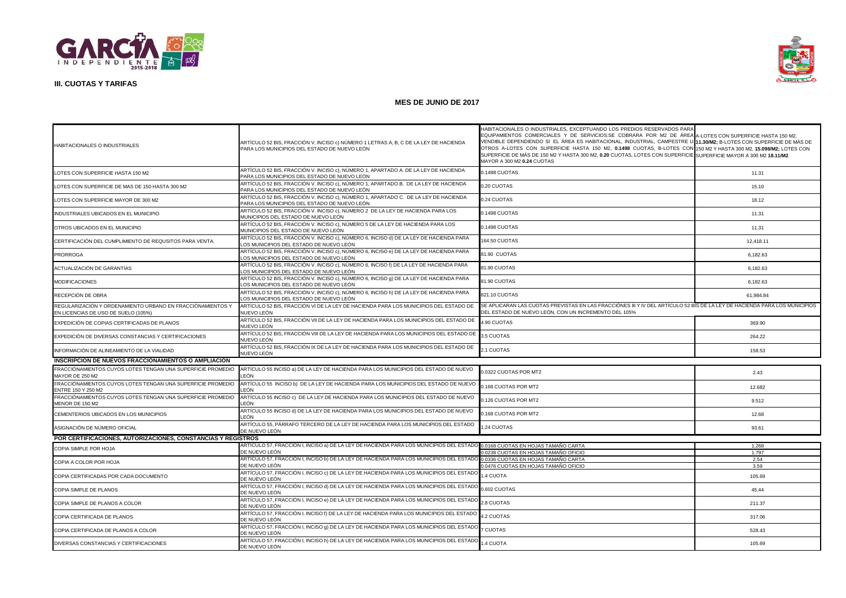



| HABITACIONALES O INDUSTRIALES                                                                     | ARTÍCULO 52 BIS. FRACCIÓN V. INCISO c) NÚMERO 1 LETRAS A. B. C DE LA LEY DE HACIENDA<br>PARA LOS MUNICIPIOS DEL ESTADO DE NUEVO LEÓN | HABITACIONALES O INDUSTRIALES, EXCEPTUANDO LOS PREDIOS RESERVADOS PARA<br>EQUIPAMIENTOS COMERCIALES Y DE SERVICIOS:SE COBRARA POR M2 DE ÁREA A-LOTES CON SUPERFICIE HASTA 150 M2.<br>VENDIBLE DEPENDIENDO SI EL ÁREA ES HABITACIONAL, INDUSTRIAL, CAMPESTRE U 11.30/M2; B-LOTES CON SUPERFICIE DE MÁS DE<br>OTROS A-LOTES CON SUPERFICIE HASTA 150 M2, 0.1498 CUOTAS, B-LOTES CON 150 M2 Y HASTA 300 M2, 15.098/M2; LOTES CON<br>SUPERFICIE DE MÁS DE 150 M2 Y HASTA 300 M2, 0.20 CUOTAS, LOTES CON SUPERFICIE SUPERFICIE MAYOR A 300 M2 18.11/M2<br>MAYOR A 300 M2 0.24 CUOTAS |              |  |
|---------------------------------------------------------------------------------------------------|--------------------------------------------------------------------------------------------------------------------------------------|---------------------------------------------------------------------------------------------------------------------------------------------------------------------------------------------------------------------------------------------------------------------------------------------------------------------------------------------------------------------------------------------------------------------------------------------------------------------------------------------------------------------------------------------------------------------------------|--------------|--|
| LOTES CON SUPERFICIE HASTA 150 M2                                                                 | ARTÍCULO 52 BIS, FRACCIÓN V. INCISO c), NÚMERO 1, APARTADO A. DE LA LEY DE HACIENDA<br>PARA LOS MUNICIPIOS DEL ESTADO DE NUEVO LEÓN  | 0.1498 CUOTAS                                                                                                                                                                                                                                                                                                                                                                                                                                                                                                                                                                   | 11.31        |  |
| LOTES CON SUPERFICIE DE MAS DE 150 HASTA 300 M2                                                   | ARTÍCULO 52 BIS, FRACCIÓN V. INCISO c), NÚMERO 1, APARTADO B. DE LA LEY DE HACIENDA<br>PARA LOS MUNICIPIOS DEL ESTADO DE NUEVO LEÓN. | 0.20 CUOTAS                                                                                                                                                                                                                                                                                                                                                                                                                                                                                                                                                                     | 15.10        |  |
| LOTES CON SUPERFICIE MAYOR DE 300 M2                                                              | ARTÍCULO 52 BIS. FRACCIÓN V. INCISO c). NÚMERO 1. APARTADO C.  DE LA LEY DE HACIENDA<br>PARA LOS MUNICIPIOS DEL ESTADO DE NUEVO LEÓN | 0.24 CUOTAS                                                                                                                                                                                                                                                                                                                                                                                                                                                                                                                                                                     | 18.12        |  |
| INDUSTRIALES UBICADOS EN EL MUNICIPIO                                                             | ARTÍCULO 52 BIS, FRACCIÓN V. INCISO c), NÚMERO 2 DE LA LEY DE HACIENDA PARA LOS<br>MUNICIPIOS DEL ESTADO DE NUEVO LEÓN               | 0.1498 CUOTAS                                                                                                                                                                                                                                                                                                                                                                                                                                                                                                                                                                   | 11.31        |  |
| OTROS UBICADOS EN EL MUNICIPIO                                                                    | ARTÍCULO 52 BIS. FRACCIÓN V. INCISO c). NÚMERO 5 DE LA LEY DE HACIENDA PARA LOS<br><i>INUNICIPIOS DEL ESTADO DE NUEVO LEÓN</i>       | 0.1498 CUOTAS                                                                                                                                                                                                                                                                                                                                                                                                                                                                                                                                                                   | 11.31        |  |
| CERTIFICACIÓN DEL CUMPLIMIENTO DE REQUSITOS PARA VENTA.                                           | ARTÍCULO 52 BIS, FRACCIÓN V. INCISO c), NÚMERO 6, INCISO d) DE LA LEY DE HACIENDA PARA<br>OS MUNICIPIOS DEL ESTADO DE NUEVO LEÓN     | 164.50 CUOTAS                                                                                                                                                                                                                                                                                                                                                                                                                                                                                                                                                                   | 12,418.11    |  |
| <b>PRORROGA</b>                                                                                   | ARTÍCULO 52 BIS, FRACCIÓN V. INCISO c), NÚMERO 6, INCISO e) DE LA LEY DE HACIENDA PARA<br>LOS MUNICIPIOS DEL ESTADO DE NUEVO LEÓN    | 81.90 CUOTAS                                                                                                                                                                                                                                                                                                                                                                                                                                                                                                                                                                    | 6,182.63     |  |
| ACTUALIZACIÓN DE GARANTÍAS                                                                        | ARTÍCULO 52 BIS, FRACCIÓN V. INCISO c), NÚMERO 6, INCISO f) DE LA LEY DE HACIENDA PARA<br>OS MUNICIPIOS DEL ESTADO DE NUEVO LEÓN.    | 81.90 CUOTAS                                                                                                                                                                                                                                                                                                                                                                                                                                                                                                                                                                    | 6.182.63     |  |
| <b>MODIFICACIONES</b>                                                                             | ARTÍCULO 52 BIS, FRACCIÓN V. INCISO c), NÚMERO 6, INCISO g) DE LA LEY DE HACIENDA PARA<br>OS MUNICIPIOS DEL ESTADO DE NUEVO LEÓN     | 81.90 CUOTAS                                                                                                                                                                                                                                                                                                                                                                                                                                                                                                                                                                    | 6,182.63     |  |
| RECEPCIÓN DE OBRA                                                                                 | ARTÍCULO 52 BIS, FRACCIÓN V. INCISO c), NÚMERO 6, INCISO h) DE LA LEY DE HACIENDA PARA<br>OS MUNICIPIOS DEL ESTADO DE NUEVO LEÓN.    | 821.10 CUOTAS                                                                                                                                                                                                                                                                                                                                                                                                                                                                                                                                                                   | 61,984.84    |  |
| REGULARIZACIÓN Y ORDENAMIENTO URBANO EN FRACCIÓNAMIENTOS Y<br>EN LICENCIAS DE USO DE SUELO (105%) | ARTÍCULO 52 BIS. FRACCIÓN VI DE LA LEY DE HACIENDA PARA LOS MUNICIPIOS DEL ESTADO DE<br>NUEVO LEÓN                                   | SE APLICARAN LAS CUOTAS PREVISTAS EN LAS FRACCIÓNES III Y IV DEL ARTÍCULO 52 BIS DE LA LEY DE HACIENDA PARA LOS MUNICIPIOS<br>DEL ESTADO DE NUEVO LEÓN, CON UN INCREMENTO DEL 105%                                                                                                                                                                                                                                                                                                                                                                                              |              |  |
| EXPEDICIÓN DE COPIAS CERTIFICADAS DE PLANOS                                                       | ARTÍCULO 52 BIS, FRACCIÓN VII DE LA LEY DE HACIENDA PARA LOS MUNICIPIOS DEL ESTADO DE<br><b>IUEVO LEÓN</b>                           | 4.90 CUOTAS                                                                                                                                                                                                                                                                                                                                                                                                                                                                                                                                                                     | 369.90       |  |
| EXPEDICIÓN DE DIVERSAS CONSTANCIAS Y CERTIFICACIONES                                              | ARTÍCULO 52 BIS, FRACCIÓN VIII DE LA LEY DE HACIENDA PARA LOS MUNICIPIOS DEL ESTADO DE<br><b>IUEVO LEÓN</b>                          | 3.5 CUOTAS                                                                                                                                                                                                                                                                                                                                                                                                                                                                                                                                                                      | 264.22       |  |
| INFORMACIÓN DE ALINEAMIENTO DE LA VIALIDAD                                                        | ARTÍCULO 52 BIS, FRACCIÓN IX DE LA LEY DE HACIENDA PARA LOS MUNICIPIOS DEL ESTADO DE<br><b>NUEVO LEÓN</b>                            | 2.1 CUOTAS                                                                                                                                                                                                                                                                                                                                                                                                                                                                                                                                                                      | 158.53       |  |
| INSCRIPCION DE NUEVOS FRACCIÓNAMIENTOS O AMPLIACIÓN                                               |                                                                                                                                      |                                                                                                                                                                                                                                                                                                                                                                                                                                                                                                                                                                                 |              |  |
| FRACCIÓNAMIENTOS CUYOS LOTES TENGAN UNA SUPERFICIE PROMEDIO<br>MAYOR DE 250 M2                    | ARTÍCULO 55 INCISO a) DE LA LEY DE HACIENDA PARA LOS MUNICIPIOS DEL ESTADO DE NUEVO<br>EÓN.                                          | 0.0322 CUOTAS POR MT2                                                                                                                                                                                                                                                                                                                                                                                                                                                                                                                                                           | 2.43         |  |
| FRACCIÓNAMIENTOS CUYOS LOTES TENGAN UNA SUPERFICIE PROMEDIO<br>ENTRE 150 Y 250 M2                 | ARTÍCULO 55 INCISO b) DE LA LEY DE HACIENDA PARA LOS MUNICIPIOS DEL ESTADO DE NUEVO<br>EÓN                                           | 0.168 CUOTAS POR MT2                                                                                                                                                                                                                                                                                                                                                                                                                                                                                                                                                            | 12.682       |  |
| FRACCIÓNAMIENTOS CUYOS LOTES TENGAN UNA SUPERFICIE PROMEDIO<br>MENOR DE 150 M2                    | ARTÍCULO 55 INCISO c) DE LA LEY DE HACIENDA PARA LOS MUNICIPIOS DEL ESTADO DE NUEVO<br>FÓN                                           | 0.126 CUOTAS POR MT2                                                                                                                                                                                                                                                                                                                                                                                                                                                                                                                                                            | 9.512        |  |
| CEMENTERIOS UBICADOS EN LOS MUNICIPIOS                                                            | ARTÍCULO 55 INCISO d) DE LA LEY DE HACIENDA PARA LOS MUNICIPIOS DEL ESTADO DE NUEVO<br>EÓN                                           | 0.168 CUOTAS POR MT2                                                                                                                                                                                                                                                                                                                                                                                                                                                                                                                                                            | 12.68        |  |
| ASIGNACIÓN DE NÚMERO OFICIAL                                                                      | ARTÍCULO 55, PÁRRAFO TERCERO DE LA LEY DE HACIENDA PARA LOS MUNICIPIOS DEL ESTADO<br>DE NUEVO LEÓN                                   | 1.24 CUOTAS                                                                                                                                                                                                                                                                                                                                                                                                                                                                                                                                                                     | 93.61        |  |
|                                                                                                   | POR CERTIFICACIONES, AUTORIZACIONES, CONSTANCIAS Y REGISTROS                                                                         |                                                                                                                                                                                                                                                                                                                                                                                                                                                                                                                                                                                 |              |  |
| COPIA SIMPLE POR HOJA                                                                             | ARTÍCULO 57, FRACCIÓN I, INCISO a) DE LA LEY DE HACIENDA PARA LOS MUNICIPIOS DEL ESTADO                                              | 0.0168 CUOTAS EN HOJAS TAMAÑO CARTA                                                                                                                                                                                                                                                                                                                                                                                                                                                                                                                                             | 1.268        |  |
|                                                                                                   | DE NUEVO LEÓN                                                                                                                        | 0.0238 CUOTAS EN HOJAS TAMAÑO OFICIO                                                                                                                                                                                                                                                                                                                                                                                                                                                                                                                                            | 1.797        |  |
| COPIA A COLOR POR HOJA                                                                            | ARTÍCULO 57, FRACCIÓN I, INCISO b) DE LA LEY DE HACIENDA PARA LOS MUNICIPIOS DEL ESTAD<br>DE NUEVO LEÓN                              | 0.0336 CUOTAS EN HOJAS TAMAÑO CARTA<br>0.0476 CUOTAS EN HOJAS TAMAÑO OFICIO                                                                                                                                                                                                                                                                                                                                                                                                                                                                                                     | 2.54<br>3.59 |  |
| COPIA CERTIFICADAS POR CADA DOCUMENTO                                                             | ARTÍCULO 57, FRACCIÓN I, INCISO c) DE LA LEY DE HACIENDA PARA LOS MUNICIPIOS DEL ESTADO<br>JE NUEVO LEÓN                             | 1.4 CUOTA                                                                                                                                                                                                                                                                                                                                                                                                                                                                                                                                                                       | 105.69       |  |
| COPIA SIMPLE DE PLANOS                                                                            | ARTÍCULO 57, FRACCIÓN I, INCISO d) DE LA LEY DE HACIENDA PARA LOS MUNICIPIOS DEL ESTADO<br>DE NUEVO LEÓN                             | 0.602 CUOTAS                                                                                                                                                                                                                                                                                                                                                                                                                                                                                                                                                                    | 45.44        |  |
| COPIA SIMPLE DE PLANOS A COLOR                                                                    | ARTÍCULO 57, FRACCIÓN I, INCISO e) DE LA LEY DE HACIENDA PARA LOS MUNICIPIOS DEL ESTADO<br>DE NUEVO LEÓN                             | 2.8 CUOTAS                                                                                                                                                                                                                                                                                                                                                                                                                                                                                                                                                                      | 211.37       |  |
| COPIA CERTIFICADA DE PLANOS                                                                       | ARTÍCULO 57, FRACCIÓN I, INCISO f) DE LA LEY DE HACIENDA PARA LOS MUNICIPIOS DEL ESTADO<br>DE NUEVO LEÓN                             | 4.2 CUOTAS                                                                                                                                                                                                                                                                                                                                                                                                                                                                                                                                                                      | 317.06       |  |
| COPIA CERTIFICADA DE PLANOS A COLOR                                                               | ARTÍCULO 57, FRACCIÓN I, INCISO q) DE LA LEY DE HACIENDA PARA LOS MUNICIPIOS DEL ESTAD<br>)E NUEVO LEÓN                              | <b>7 CUOTAS</b>                                                                                                                                                                                                                                                                                                                                                                                                                                                                                                                                                                 | 528.43       |  |
| DIVERSAS CONSTANCIAS Y CERTIFICACIONES                                                            | ARTÍCULO 57, FRACCIÓN I, INCISO h) DE LA LEY DE HACIENDA PARA LOS MUNICIPIOS DEL ESTADO<br>DE NUEVO LEÓN                             | 1.4 CUOTA                                                                                                                                                                                                                                                                                                                                                                                                                                                                                                                                                                       | 105.69       |  |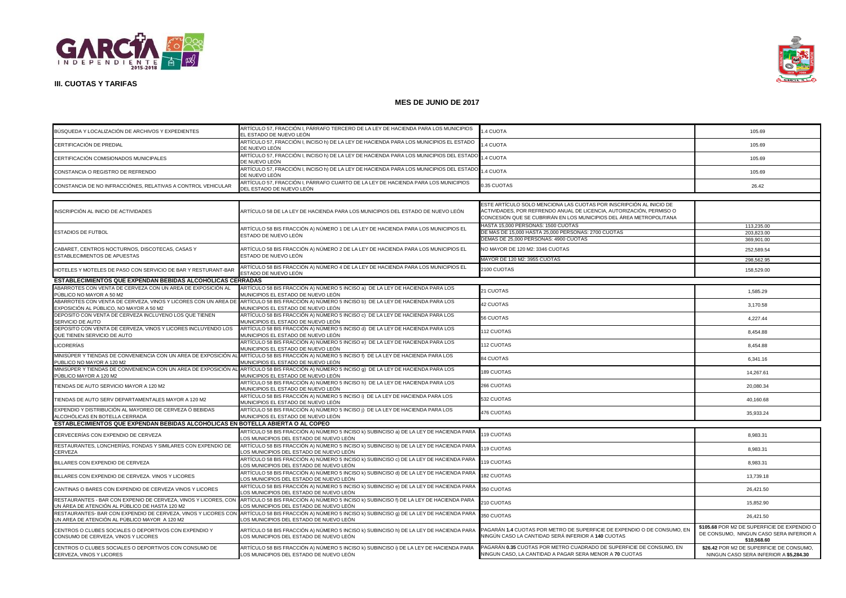



| BÚSQUEDA Y LOCALIZACIÓN DE ARCHIVOS Y EXPEDIENTES                                                                 | ARTÍCULO 57, FRACCIÓN I, PÁRRAFO TERCERO DE LA LEY DE HACIENDA PARA LOS MUNICIPIOS<br>EL ESTADO DE NUEVO LEÓN                     | .4 CUOTA                                                                                                                                                                                                          | 105.69                                                                                                |
|-------------------------------------------------------------------------------------------------------------------|-----------------------------------------------------------------------------------------------------------------------------------|-------------------------------------------------------------------------------------------------------------------------------------------------------------------------------------------------------------------|-------------------------------------------------------------------------------------------------------|
| CERTIFICACIÓN DE PREDIAL                                                                                          | ARTÍCULO 57, FRACCIÓN I, INCISO h) DE LA LEY DE HACIENDA PARA LOS MUNICIPIOS EL ESTADO<br>DE NUEVO LEÓN                           | <b>.4 CUOTA</b>                                                                                                                                                                                                   | 105.69                                                                                                |
| CERTIFICACIÓN COMISIONADOS MUNICIPALES                                                                            | ARTÍCULO 57, FRACCIÓN I, INCISO h) DE LA LEY DE HACIENDA PARA LOS MUNICIPIOS DEL ESTADO<br>DE NUEVO LEÓN                          | 1.4 CUOTA                                                                                                                                                                                                         | 105.69                                                                                                |
| CONSTANCIA O REGISTRO DE REFRENDO                                                                                 | ARTÍCULO 57, FRACCIÓN I, INCISO h) DE LA LEY DE HACIENDA PARA LOS MUNICIPIOS DEL ESTADO<br>DE NUEVO LEÓN                          | 1.4 CUOTA                                                                                                                                                                                                         | 105.69                                                                                                |
| CONSTANCIA DE NO INFRACCIÓNES, RELATIVAS A CONTROL VEHICULAR                                                      | ARTÍCULO 57, FRACCIÓN I, PÁRRAFO CUARTO DE LA LEY DE HACIENDA PARA LOS MUNICIPIOS<br>DEL ESTADO DE NUEVO LEÓN                     | 0.35 CUOTAS                                                                                                                                                                                                       | 26.42                                                                                                 |
|                                                                                                                   |                                                                                                                                   |                                                                                                                                                                                                                   |                                                                                                       |
| INSCRIPCIÓN AL INICIO DE ACTIVIDADES                                                                              | ARTÍCULO 58 DE LA LEY DE HACIENDA PARA LOS MUNICIPIOS DEL ESTADO DE NUEVO LEÓN                                                    | ESTE ARTÍCULO SOLO MENCIONA LAS CUOTAS POR INSCRIPCIÓN AL INICIO DE<br>ACTIVIDADES, POR REFRENDO ANUAL DE LICENCIA, AUTORIZACIÓN, PERMISO O<br>CONCESIÓN QUE SE CUBRIRÁN EN LOS MUNICIPIOS DEL ÁREA METROPOLITANA |                                                                                                       |
| <b>ESTADIOS DE FUTBOL</b>                                                                                         | ARTÍCULO 58 BIS FRACCIÓN A) NÚMERO 1 DE LA LEY DE HACIENDA PARA LOS MUNICIPIOS EL<br>ESTADO DE NUEVO LEÓN                         | HASTA 15,000 PERSONAS: 1500 CUOTAS<br>DE MAS DE 15,000 HASTA 25,000 PERSONAS: 2700 CUOTAS                                                                                                                         | 113,235.00<br>203.823.00                                                                              |
| CABARET, CENTROS NOCTURNOS, DISCOTECAS, CASAS Y                                                                   | ARTÍCULO 58 BIS FRACCIÓN A) NÚMERO 2 DE LA LEY DE HACIENDA PARA LOS MUNICIPIOS EL                                                 | DEMAS DE 25,000 PERSONAS: 4900 CUOTAS<br>NO MAYOR DE 120 M2: 3346 CUOTAS                                                                                                                                          | 369,901.00<br>252,589.54                                                                              |
| ESTABLECIMIENTOS DE APUESTAS                                                                                      | ESTADO DE NUEVO LEÓN                                                                                                              | MAYOR DE 120 M2: 3955 CUOTAS                                                                                                                                                                                      | 298,562.95                                                                                            |
| HOTELES Y MOTELES DE PASO CON SERVICIO DE BAR Y RESTURANT-BAR                                                     | ARTÍCULO 58 BIS FRACCIÓN A) NÚMERO 4 DE LA LEY DE HACIENDA PARA LOS MUNICIPIOS EL<br>ESTADO DE NUEVO LEÓN                         | 2100 CUOTAS                                                                                                                                                                                                       | 158,529.00                                                                                            |
| ESTABLECIMIENTOS QUE EXPENDAN BEBIDAS ALCOHÓLICAS CERRADAS                                                        |                                                                                                                                   |                                                                                                                                                                                                                   |                                                                                                       |
| ABARROTES CON VENTA DE CERVEZA CON UN AREA DE EXPOSICIÓN AL<br>PÚBLICO NO MAYOR A 50 M2                           | ARTÍCULO 58 BIS FRACCIÓN A) NÚMERO 5 INCISO a) DE LA LEY DE HACIENDA PARA LOS<br>MUNICIPIOS EL ESTADO DE NUEVO LEÓN               | 21 CUOTAS                                                                                                                                                                                                         | 1.585.29                                                                                              |
| ABARROTES CON VENTA DE CERVEZA, VINOS Y LICORES CON UN AREA DE<br>EXPOSICIÓN AL PÚBLICO, NO MAYOR A 50 M2         | ARTÍCULO 58 BIS FRACCIÓN A) NÚMERO 5 INCISO b) DE LA LEY DE HACIENDA PARA LOS<br>MUNICIPIOS EL ESTADO DE NUEVO LEÓN               | <b>42 CUOTAS</b>                                                                                                                                                                                                  | 3,170.58                                                                                              |
| DEPOSITO CON VENTA DE CERVEZA INCLUYENO LOS QUE TIENEN<br>SERVICIO DE AUTO                                        | ARTÍCULO 58 BIS FRACCIÓN A) NÚMERO 5 INCISO c) DE LA LEY DE HACIENDA PARA LOS<br>MUNICIPIOS EL ESTADO DE NUEVO LEÓN               | 56 CUOTAS                                                                                                                                                                                                         | 4,227.44                                                                                              |
| DEPOSITO CON VENTA DE CERVEZA, VINOS Y LICORES INCLUYENDO LOS<br>QUE TIENEN SERVICIO DE AUTO                      | ARTÍCULO 58 BIS FRACCIÓN A) NÚMERO 5 INCISO d) DE LA LEY DE HACIENDA PARA LOS<br>MUNICIPIOS EL ESTADO DE NUEVO LEÓN               | 112 CUOTAS                                                                                                                                                                                                        | 8,454.88                                                                                              |
| <b>LICORERÍAS</b>                                                                                                 | ARTÍCULO 58 BIS FRACCIÓN A) NÚMERO 5 INCISO e) DE LA LEY DE HACIENDA PARA LOS<br>MUNICIPIOS EL ESTADO DE NUEVO LEÓN               | 112 CUOTAS                                                                                                                                                                                                        | 8,454.88                                                                                              |
| MINISÚPER Y TIENDAS DE CONVENIENCIA CON UN AREA DE EXPOSICIÓN AL<br>PUBLICO NO MAYOR A 120 M2                     | ARTÍCULO 58 BIS FRACCIÓN A) NÚMERO 5 INCISO f) DE LA LEY DE HACIENDA PARA LOS<br>MUNICIPIOS EL ESTADO DE NUEVO LEÓN               | <b>84 CUOTAS</b>                                                                                                                                                                                                  | 6,341.16                                                                                              |
| MINISÚPER Y TIENDAS DE CONVENIENCIA CON UN AREA DE EXPOSICIÓN AI<br>PÚBLICO MAYOR A 120 M2                        | ARTÍCULO 58 BIS FRACCIÓN A) NÚMERO 5 INCISO 9) DE LA LEY DE HACIENDA PARA LOS<br>MUNICIPIOS EL ESTADO DE NUEVO LEÓN               | <b>189 CUOTAS</b>                                                                                                                                                                                                 | 14,267.61                                                                                             |
| TIENDAS DE AUTO SERVICIO MAYOR A 120 M2                                                                           | ARTÍCULO 58 BIS FRACCIÓN A) NÚMERO 5 INCISO h) DE LA LEY DE HACIENDA PARA LOS<br>MUNICIPIOS EL ESTADO DE NUEVO LEÓN               | 266 CUOTAS                                                                                                                                                                                                        | 20,080.34                                                                                             |
| TIENDAS DE AUTO SERV DEPARTAMENTALES MAYOR A 120 M2                                                               | ARTÍCULO 58 BIS FRACCIÓN A) NÚMERO 5 INCISO i) DE LA LEY DE HACIENDA PARA LOS<br>MUNICIPIOS EL ESTADO DE NUEVO LEÓN               | 532 CUOTAS                                                                                                                                                                                                        | 40,160.68                                                                                             |
| EXPENDIO Y DISTRIBUCIÓN AL MAYOREO DE CERVEZA Ó BEBIDAS<br>LCOHÓLICAS EN BOTELLA CERRADA                          | ARTÍCULO 58 BIS FRACCIÓN A) NÚMERO 5 INCISO j) DE LA LEY DE HACIENDA PARA LOS<br>MUNICIPIOS EL ESTADO DE NUEVO LEÓN               | <b>476 CUOTAS</b>                                                                                                                                                                                                 | 35,933.24                                                                                             |
| ESTABLECIMIENTOS QUE EXPENDAN BEBIDAS ALCOHÓLICAS EN BOTELLA ABIERTA O AL COPEO                                   |                                                                                                                                   |                                                                                                                                                                                                                   |                                                                                                       |
| CERVECERÍAS CON EXPENDIO DE CERVEZA                                                                               | ARTÍCULO 58 BIS FRACCIÓN A) NÚMERO 5 INCISO k) SUBINCISO a) DE LA LEY DE HACIENDA PARA<br>OS MUNICIPIOS DEL ESTADO DE NUEVO LEÓN  | 119 CUOTAS                                                                                                                                                                                                        | 8,983.31                                                                                              |
| RESTAURANTES, LONCHERÍAS, FONDAS Y SIMILARES CON EXPENDIO DE<br>CERVEZA                                           | ARTÍCULO 58 BIS FRACCIÓN A) NÚMERO 5 INCISO k) SUBINCISO b) DE LA LEY DE HACIENDA PARA<br>OS MUNICIPIOS DEL ESTADO DE NUEVO LEÓN  | 119 CUOTAS                                                                                                                                                                                                        | 8,983.31                                                                                              |
| BILLARES CON EXPENDIO DE CERVEZA                                                                                  | ARTÍCULO 58 BIS FRACCIÓN A) NÚMERO 5 INCISO k) SUBINCISO c) DE LA LEY DE HACIENDA PARA<br>LOS MUNICIPIOS DEL ESTADO DE NUEVO LEÓN | 119 CUOTAS                                                                                                                                                                                                        | 8,983.31                                                                                              |
| BILLARES CON EXPENDIO DE CERVEZA. VINOS Y LICORES                                                                 | ARTÍCULO 58 BIS FRACCIÓN A) NÚMERO 5 INCISO k) SUBINCISO d) DE LA LEY DE HACIENDA PARA<br>OS MUNICIPIOS DEL ESTADO DE NUEVO LEÓN  | 182 CUOTAS                                                                                                                                                                                                        | 13,739.18                                                                                             |
| CANTINAS O BARES CON EXPENDIO DE CERVEZA VINOS Y LICORES                                                          | ARTÍCULO 58 BIS FRACCIÓN A) NÚMERO 5 INCISO k) SUBINCISO e) DE LA LEY DE HACIENDA PARA<br>LOS MUNICIPIOS DEL ESTADO DE NUEVO LEÓN | 350 CUOTAS                                                                                                                                                                                                        | 26,421.50                                                                                             |
| RESTAURANTES - BAR CON EXPENIO DE CERVEZA, VINOS Y LICORES, CON<br>JN ÁREA DE ATENCIÓN AL PÚBLICO DE HASTA 120 M2 | ARTÍCULO 58 BIS FRACCIÓN A) NÚMERO 5 INCISO K) SUBINCISO f) DE LA LEY DE HACIENDA PARA<br>OS MUNICIPIOS DEL ESTADO DE NUEVO LEÓN. | 210 CUOTAS                                                                                                                                                                                                        | 15,852.90                                                                                             |
| RESTAURANTES- BAR CON EXPENDIO DE CERVEZA, VINOS Y LICORES CON<br>JN AREA DE ATENCIÓN AL PÚBLICO MAYOR A 120 M2   | ARTÍCULO 58 BIS FRACCIÓN A) NÚMERO 5 INCISO K) SUBINCISO g) DE LA LEY DE HACIENDA PARA<br>OS MUNICIPIOS DEL ESTADO DE NUEVO LEÓN  | 350 CUOTAS                                                                                                                                                                                                        | 26,421.50                                                                                             |
| CENTROS O CLUBES SOCIALES O DEPORTIVOS CON EXPENDIO Y<br>CONSUMO DE CERVEZA, VINOS Y LICORES                      | ARTÍCULO 58 BIS FRACCIÓN A) NÚMERO 5 INCISO k) SUBINCISO h) DE LA LEY DE HACIENDA PARA<br>LOS MUNICIPIOS DEL ESTADO DE NUEVO LEÓN | PAGARÁN 1.4 CUOTAS POR METRO DE SUPERFICIE DE EXPENDIO O DE CONSUMO, EN<br>NINGÚN CASO LA CANTIDAD SERÁ INFERIOR A 140 CUOTAS                                                                                     | \$105.68 POR M2 DE SUPERFICIE DE EXPENDIO O<br>DE CONSUMO, NINGUN CASO SERA INFERIOR A<br>\$10,568.60 |
| CENTROS O CLUBES SOCIALES O DEPORTIVOS CON CONSUMO DE<br>CERVEZA, VINOS Y LICORES                                 | ARTÍCULO 58 BIS FRACCIÓN A) NÚMERO 5 INCISO k) SUBINCISO I) DE LA LEY DE HACIENDA PARA<br>LOS MUNICIPIOS DEL ESTADO DE NUEVO LEÓN | PAGARÁN <b>0.35</b> CUOTAS POR METRO CUADRADO DE SUPERFICIE DE CONSUMO, EN<br>NINGUN CASO, LA CANTIDAD A PAGAR SERA MENOR A 70 CUOTAS                                                                             | \$26.42 POR M2 DE SUPERFICIE DE CONSUMO.<br>NINGUN CASO SERA INFERIOR A \$5,284.30                    |
|                                                                                                                   |                                                                                                                                   |                                                                                                                                                                                                                   |                                                                                                       |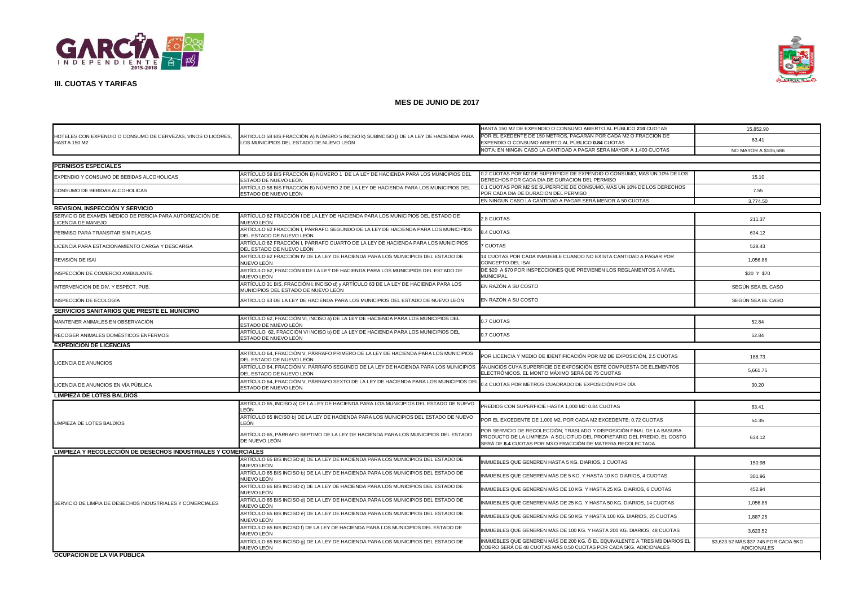



|                                                                                     |                                                                                                                                   | HASTA 150 M2 DE EXPENDIO O CONSUMO ABIERTO AL PÚBLICO 210 CUOTAS                                                                                                                                                  | 15,852.90                                                  |  |
|-------------------------------------------------------------------------------------|-----------------------------------------------------------------------------------------------------------------------------------|-------------------------------------------------------------------------------------------------------------------------------------------------------------------------------------------------------------------|------------------------------------------------------------|--|
| HOTELES CON EXPENDIO O CONSUMO DE CERVEZAS, VINOS O LICORES,<br><b>HASTA 150 M2</b> | ARTICULO 58 BIS FRACCIÓN A) NÚMERO 5 INCISO k) SUBINCISO ¡) DE LA LEY DE HACIENDA PARA<br>OS MUNICIPIOS DEL ESTADO DE NUEVO LEÓN. | POR EL EXEDENTE DE 150 METROS, PAGARÁN POR CADA M2 O FRACCIÓN DE<br>EXPENDIO O CONSUMO ABIERTO AL PÚBLICO <b>0.84</b> CUOTAS                                                                                      | 63.41                                                      |  |
|                                                                                     |                                                                                                                                   | NOTA: EN NINGIN CASO LA CANTIDAD A PAGAR SERA MAYOR A 1,400 CUOTAS                                                                                                                                                | NO MAYOR A \$105,686                                       |  |
| PERMISOS ESPECIALES                                                                 |                                                                                                                                   |                                                                                                                                                                                                                   |                                                            |  |
|                                                                                     | ARTÍCULO 58 BIS FRACCIÓN B) NÚMERO 1 DE LA LEY DE HACIENDA PARA LOS MUNICIPIOS DEL                                                | 0.2 CUOTAS POR M2 DE SUPERFICIE DE EXPENDIO O CONSUMO. MAS UN 10% DE LOS                                                                                                                                          |                                                            |  |
| EXPENDIO Y CONSUMO DE BEBIDAS ALCOHOLICAS                                           | ESTADO DE NUEVO LEÓN                                                                                                              | DERECHOS POR CADA DIA DE DURACION DEL PERMISO                                                                                                                                                                     | 15.10                                                      |  |
| CONSUMO DE BEBIDAS ALCOHOLICAS                                                      | ARTÍCULO 58 BIS FRACCIÓN B) NÚMERO 2 DE LA LEY DE HACIENDA PARA LOS MUNICIPIOS DEL<br>ESTADO DE NUEVO LEÓN                        | 0.1 CUOTAS POR M2 SE SUPERFICIE DE CONSUMO, MAS UN 10% DE LOS DERECHOS<br>POR CADA DIA DE DURACION DEL PERMISO                                                                                                    | 7.55                                                       |  |
|                                                                                     |                                                                                                                                   | EN NINGUN CASO LA CANTIDAD A PAGAR SERÁ MENOR A 50 CUOTAS                                                                                                                                                         | 3,774.50                                                   |  |
| <b>REVISION, INSPECCIÓN Y SERVICIO</b>                                              |                                                                                                                                   |                                                                                                                                                                                                                   |                                                            |  |
| SERVICIO DE EXAMEN MEDICO DE PERICIA PARA AUTORIZACIÓN DE<br>ICENCIA DE MANEJO      | ARTÍCULO 62 FRACCIÓN I DE LA LEY DE HACIENDA PARA LOS MUNICIPIOS DEL ESTADO DE<br>NUEVO LEÓN                                      | 2.8 CUOTAS                                                                                                                                                                                                        | 211.37                                                     |  |
| PERMISO PARA TRANSITAR SIN PLACAS                                                   | ARTÍCULO 62 FRACCIÓN I, PÁRRAFO SEGUNDO DE LA LEY DE HACIENDA PARA LOS MUNICIPIOS<br>DEL ESTADO DE NUEVO LEÓN                     | <b>3.4 CUOTAS</b>                                                                                                                                                                                                 | 634.12                                                     |  |
| LICENCIA PARA ESTACIONAMIENTO CARGA Y DESCARGA                                      | ARTÍCULO 62 FRACCIÓN I, PÁRRAFO CUARTO DE LA LEY DE HACIENDA PARA LOS MUNICIPIOS<br>DEL ESTADO DE NUEVO LEÓN                      | <b>7 CUOTAS</b>                                                                                                                                                                                                   | 528.43                                                     |  |
| REVISIÓN DE ISAI                                                                    | ARTÍCULO 62 FRACCIÓN IV DE LA LEY DE HACIENDA PARA LOS MUNICIPIOS DEL ESTADO DE<br>NUEVO LEÓN                                     | 14 CUOTAS POR CADA INMUEBLE CUANDO NO EXISTA CANTIDAD A PAGAR POR<br>CONCEPTO DEL ISAI                                                                                                                            | 1,056.86                                                   |  |
| INSPECCIÓN DE COMERCIO AMBULANTE                                                    | ARTÍCULO 62, FRACCIÓN II DE LA LEY DE HACIENDA PARA LOS MUNICIPIOS DEL ESTADO DE<br>NUEVO LEÓN                                    | DE \$20 A \$70 POR INSPECCIONES QUE PREVIENEN LOS REGLAMENTOS A NIVEL<br><b>MUNICIPAL</b>                                                                                                                         | \$20 Y \$70                                                |  |
| INTERVENCION DE DIV. Y ESPECT. PUB.                                                 | ARTÍCULO 31 BIS, FRACCIÓN I, INCISO d) y ARTÍCULO 63 DE LA LEY DE HACIENDA PARA LOS<br>MUNICIPIOS DEL ESTADO DE NUEVO LEÓN        | EN RAZÓN A SU COSTO                                                                                                                                                                                               | SEGÚN SEA EL CASO                                          |  |
| INSPECCIÓN DE ECOLOGÍA                                                              | ARTICULO 63 DE LA LEY DE HACIENDA PARA LOS MUNICIPIOS DEL ESTADO DE NUEVO LEÓN                                                    | EN RAZÓN A SU COSTO                                                                                                                                                                                               | SEGÚN SEA EL CASO                                          |  |
| SERVICIOS SANITARIOS QUE PRESTE EL MUNICIPIO                                        |                                                                                                                                   |                                                                                                                                                                                                                   |                                                            |  |
| MANTENER ANIMALES EN OBSERVACIÓN                                                    | ARTÍCULO 62, FRACCIÓN VI, INCISO a) DE LA LEY DE HACIENDA PARA LOS MUNICIPIOS DEL<br>ESTADO DE NUEVO LEÓN                         | 0.7 CUOTAS                                                                                                                                                                                                        | 52.84                                                      |  |
| RECOGER ANIMALES DOMÉSTICOS ENFERMOS                                                | ARTÍCULO 62, FRACCIÓN VI INCISO b) DE LA LEY DE HACIENDA PARA LOS MUNICIPIOS DEL<br>ESTADO DE NUEVO LEÓN                          | 0.7 CUOTAS                                                                                                                                                                                                        | 52.84                                                      |  |
| <b>EXPEDICIÓN DE LICENCIAS</b>                                                      |                                                                                                                                   |                                                                                                                                                                                                                   |                                                            |  |
| LICENCIA DE ANUNCIOS                                                                | ARTÍCULO 64, FRACCIÓN V, PÁRRAFO PRIMERO DE LA LEY DE HACIENDA PARA LOS MUNICIPIOS<br>DEL ESTADO DE NUEVO LEÓN                    | POR LICENCIA Y MEDIO DE IDENTIFICACIÓN POR M2 DE EXPOSICIÓN, 2.5 CUOTAS                                                                                                                                           | 188.73                                                     |  |
|                                                                                     | ARTÍCULO 64, FRACCIÓN V, PÁRRAFO SEGUNDO DE LA LEY DE HACIENDA PARA LOS MUNICIPIOS<br>DEL ESTADO DE NUEVO LEÓN                    | ANUNCIOS CUYA SUPERFICIE DE EXPOSICIÓN ESTE COMPUESTA DE ELEMENTOS<br>ELECTRÓNICOS, EL MONTO MÁXIMO SERÁ DE 75 CUOTAS                                                                                             | 5,661.75                                                   |  |
| LICENCIA DE ANUNCIOS EN VÍA PÚBLICA                                                 | ARTÍCULO 64, FRACCIÓN V, PÁRRAFO SEXTO DE LA LEY DE HACIENDA PARA LOS MUNICIPIOS DEL<br>ESTADO DE NUEVO LEÓN                      | 0.4 CUOTAS POR METROS CUADRADO DE EXPOSICIÓN POR DÍA                                                                                                                                                              | 30.20                                                      |  |
| <b>LIMPIEZA DE LOTES BALDIOS</b>                                                    |                                                                                                                                   |                                                                                                                                                                                                                   |                                                            |  |
|                                                                                     | ARTÍCULO 65, INCISO a) DE LA LEY DE HACIENDA PARA LOS MUNICIPIOS DEL ESTADO DE NUEVO<br>LEÓN                                      | PREDIOS CON SUPERFICIE HASTA 1,000 M2: 0.84 CUOTAS                                                                                                                                                                | 63.41                                                      |  |
| LIMPIEZA DE LOTES BALDÍOS                                                           | ARTÍCULO 65 INCISO b) DE LA LEY DE HACIENDA PARA LOS MUNICIPIOS DEL ESTADO DE NUEVO<br>EÓN.                                       | POR EL EXCEDENTE DE 1,000 M2, POR CADA M2 EXCEDENTE: 0.72 CUOTAS                                                                                                                                                  | 54.35                                                      |  |
|                                                                                     | ARTÍCULO 65, PÁRRAFO SEPTIMO DE LA LEY DE HACIENDA PARA LOS MUNICIPIOS DEL ESTADO<br>DE NUEVO LEÓN                                | POR SERVICIO DE RECOLECCIÓN, TRASLADO Y DISPOSICIÓN FINAL DE LA BASURA<br>PRODUCTO DE LA LIMPIEZA A SOLICITUD DEL PROPIETARIO DEL PREDIO, EL COSTO<br>SERÁ DE 8.4 CUOTAS POR M3 O FRACCIÓN DE MATERIA RECOLECTADA | 634.12                                                     |  |
| LIMPIEZA Y RECOLECCION DE DESECHOS INDUSTRIALES Y COMERCIALES                       |                                                                                                                                   |                                                                                                                                                                                                                   |                                                            |  |
|                                                                                     | ARTÍCULO 65 BIS INCISO a) DE LA LEY DE HACIENDA PARA LOS MUNICIPIOS DEL ESTADO DE<br>NUEVO LEÓN                                   | INMUEBLES QUE GENEREN HASTA 5 KG, DIARIOS, 2 CUOTAS                                                                                                                                                               | 150.98                                                     |  |
|                                                                                     | ARTÍCULO 65 BIS INCISO b) DE LA LEY DE HACIENDA PARA LOS MUNICIPIOS DEL ESTADO DE<br>NUEVO LEÓN                                   | INMUEBLES QUE GENEREN MÁS DE 5 KG. Y HASTA 10 KG DIARIOS, 4 CUOTAS                                                                                                                                                | 301.96                                                     |  |
|                                                                                     | ARTÍCULO 65 BIS INCISO c) DE LA LEY DE HACIENDA PARA LOS MUNICIPIOS DEL ESTADO DE<br>NUEVO LEÓN                                   | INMUEBLES QUE GENEREN MÁS DE 10 KG. Y HASTA 25 KG. DIARIOS, 6 CUOTAS                                                                                                                                              | 452.94                                                     |  |
| SERVICIO DE LIMPIA DE DESECHOS INDUSTRIALES Y COMERCIALES                           | ARTÍCULO 65 BIS INCISO d) DE LA LEY DE HACIENDA PARA LOS MUNICIPIOS DEL ESTADO DE<br>NUEVO LEÓN                                   | INMUEBLES QUE GENEREN MÁS DE 25 KG. Y HASTA 50 KG. DIARIOS, 14 CUOTAS                                                                                                                                             | 1,056.86                                                   |  |
|                                                                                     | ARTÍCULO 65 BIS INCISO e) DE LA LEY DE HACIENDA PARA LOS MUNICIPIOS DEL ESTADO DE<br>NUEVO LEÓN                                   | NMUEBLES QUE GENEREN MÁS DE 50 KG. Y HASTA 100 KG. DIARIOS, 25 CUOTAS                                                                                                                                             | 1,887.25                                                   |  |
|                                                                                     | ARTÍCULO 65 BIS INCISO f) DE LA LEY DE HACIENDA PARA LOS MUNICIPIOS DEL ESTADO DE<br>NUEVO LEÓN                                   | INMUEBLES QUE GENEREN MÁS DE 100 KG. Y HASTA 200 KG. DIARIOS, 48 CUOTAS                                                                                                                                           | 3,623.52                                                   |  |
|                                                                                     | ARTÍCULO 65 BIS INCISO 9) DE LA LEY DE HACIENDA PARA LOS MUNICIPIOS DEL ESTADO DE<br>NUEVO LEÓN                                   | INMUEBLES QUE GENEREN MÁS DE 200 KG. Ó EL EQUIVALENTE A TRES M3 DIARIOS EL<br>COBRO SERÁ DE 48 CUOTAS MÁS 0.50 CUOTAS POR CADA 5KG. ADICIONALES                                                                   | \$3,623.52 MÁS \$37.745 POR CADA 5KG<br><b>ADICIONALES</b> |  |
| <b>OCUPACION DE LA VIA PUBLICA</b>                                                  |                                                                                                                                   |                                                                                                                                                                                                                   |                                                            |  |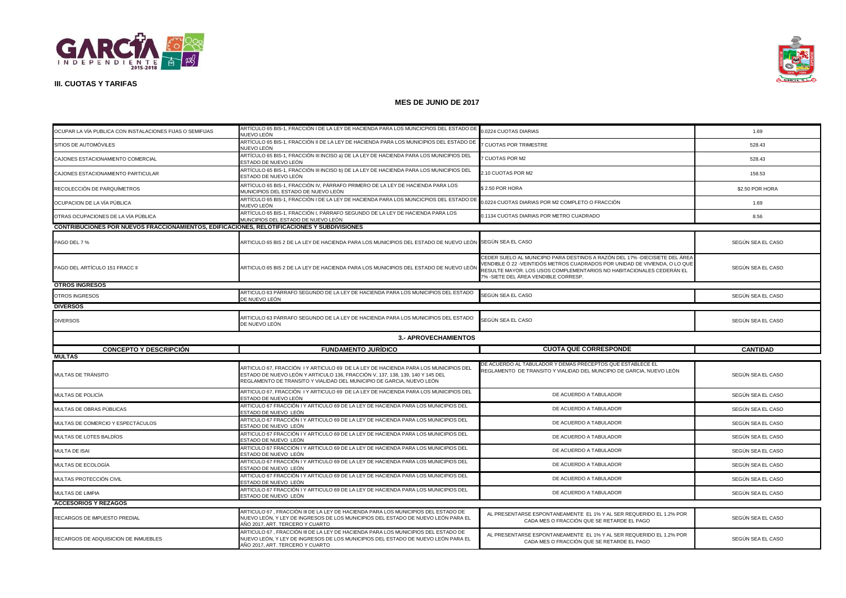



| OCUPAR LA VÍA PUBLICA CON INSTALACIONES FIJAS O SEMIFIJAS                                   | ARTÍCULO 65 BIS-1, FRACCIÓN I DE LA LEY DE HACIENDA PARA LOS MUNCICPIOS DEL ESTADO DE<br>NUEVO LEÓN                                                                                                                                           | 0.0224 CUOTAS DIARIAS                                                                                                                                                                                                                                                     | 1.69              |  |
|---------------------------------------------------------------------------------------------|-----------------------------------------------------------------------------------------------------------------------------------------------------------------------------------------------------------------------------------------------|---------------------------------------------------------------------------------------------------------------------------------------------------------------------------------------------------------------------------------------------------------------------------|-------------------|--|
| SITIOS DE AUTOMÓVILES                                                                       | ARTÍCULO 65 BIS-1, FRACCIÓN II DE LA LEY DE HACIENDA PARA LOS MUNICIPIOS DEL ESTADO DE<br>NUEVO LEÓN                                                                                                                                          | 7 CUOTAS POR TRIMESTRE                                                                                                                                                                                                                                                    | 528.43            |  |
| CAJONES ESTACIONAMIENTO COMERCIAL                                                           | ARTÍCULO 65 BIS-1, FRACCIÓN III INCISO a) DE LA LEY DE HACIENDA PARA LOS MUNICIPIOS DEL<br>:STADO DE NUEVO LEÓN                                                                                                                               | <b>7 CUOTAS POR M2</b>                                                                                                                                                                                                                                                    | 528.43            |  |
| CAJONES ESTACIONAMIENTO PARTICULAR                                                          | ARTÍCULO 65 BIS-1, FRACCIÓN III INCISO b) DE LA LEY DE HACIENDA PARA LOS MUNICIPIOS DEL<br>ESTADO DE NUEVO LEÓN                                                                                                                               | 2.10 CUOTAS POR M2                                                                                                                                                                                                                                                        | 158.53            |  |
| RECOLECCIÓN DE PARQUÍMETROS                                                                 | ARTÍCULO 65 BIS-1, FRACCIÓN IV, PÁRRAFO PRIMERO DE LA LEY DE HACIENDA PARA LOS<br>MUNICIPIOS DEL ESTADO DE NUEVO LEÓN                                                                                                                         | \$2.50 POR HORA                                                                                                                                                                                                                                                           | \$2.50 POR HORA   |  |
| OCUPACION DE LA VÍA PÚBLICA                                                                 | ARTÍCULO 65 BIS-1, FRACCIÓN I DE LA LEY DE HACIENDA PARA LOS MUNCICPIOS DEL ESTADO DE<br>NUEVO LEÓN                                                                                                                                           | 0.0224 CUOTAS DIARIAS POR M2 COMPLETO O FRACCIÓN                                                                                                                                                                                                                          | 1.69              |  |
| OTRAS OCUPACIONES DE LA VÍA PÚBLICA                                                         | ARTÍCULO 65 BIS-1, FRACCIÓN I, PÁRRAFO SEGUNDO DE LA LEY DE HACIENDA PARA LOS<br>MUNCIPIOS DEL ESTADO DE NUEVO LEÓN                                                                                                                           | 0.1134 CUOTAS DIARIAS POR METRO CUADRADO                                                                                                                                                                                                                                  | 8.56              |  |
| CONTRIBUCIONES POR NUEVOS FRACCIONAMIENTOS, EDIFICACIONES, RELOTIFICACIONES Y SUBDIVISIONES |                                                                                                                                                                                                                                               |                                                                                                                                                                                                                                                                           |                   |  |
| PAGO DEL 7 %                                                                                | ARTICULO 65 BIS 2 DE LA LEY DE HACIENDA PARA LOS MUNICIPIOS DEL ESTADO DE NUEVO LEÓN SEGÚN SEA EL CASO                                                                                                                                        |                                                                                                                                                                                                                                                                           | SEGÚN SEA EL CASO |  |
| PAGO DEL ARTÍCULO 151 FRACC II                                                              | ARTICULO 65 BIS 2 DE LA LEY DE HACIENDA PARA LOS MUNICIPIOS DEL ESTADO DE NUEVO LEÓN                                                                                                                                                          | CEDER SUELO AL MUNICIPIO PARA DESTINOS A RAZÓN DEL 17% -DIECISIETE DEL ÁREA<br>VENDIBLE Ó 22 -VEINTIDÓS METROS CUADRADOS POR UNIDAD DE VIVIENDA, O LO QUE<br>RESULTE MAYOR. LOS USOS COMPLEMENTARIOS NO HABITACIONALES CEDERÁN EL<br>7% -SIETE DEL ÁREA VENDIBLE CORRESP. | SEGÚN SEA EL CASO |  |
| <b>OTROS INGRESOS</b>                                                                       |                                                                                                                                                                                                                                               |                                                                                                                                                                                                                                                                           |                   |  |
| OTROS INGRESOS                                                                              | ARTICULO 63 PÁRRAFO SEGUNDO DE LA LEY DE HACIENDA PARA LOS MUNICIPIOS DEL ESTADO<br>DE NUEVO LEÓN                                                                                                                                             | SEGÚN SEA EL CASO                                                                                                                                                                                                                                                         | SEGÚN SEA EL CASO |  |
| <b>DIVERSOS</b>                                                                             |                                                                                                                                                                                                                                               |                                                                                                                                                                                                                                                                           |                   |  |
| <b>DIVERSOS</b>                                                                             | ARTICULO 63 PÁRRAFO SEGUNDO DE LA LEY DE HACIENDA PARA LOS MUNICIPIOS DEL ESTADO<br>DE NUEVO LEÓN                                                                                                                                             | SEGÚN SEA EL CASO                                                                                                                                                                                                                                                         | SEGÚN SEA EL CASO |  |
|                                                                                             | <b>3.- APROVECHAMIENTOS</b>                                                                                                                                                                                                                   |                                                                                                                                                                                                                                                                           |                   |  |
|                                                                                             |                                                                                                                                                                                                                                               |                                                                                                                                                                                                                                                                           |                   |  |
| <b>CONCEPTO Y DESCRIPCIÓN</b>                                                               | <b>FUNDAMENTO JURÍDICO</b>                                                                                                                                                                                                                    | <b>CUOTA QUE CORRESPONDE</b>                                                                                                                                                                                                                                              | <b>CANTIDAD</b>   |  |
| <b>MULTAS</b>                                                                               |                                                                                                                                                                                                                                               |                                                                                                                                                                                                                                                                           |                   |  |
| MULTAS DE TRÁNSITO                                                                          | ARTICULO 67, FRACCIÓN I Y ARTICULO 69 DE LA LEY DE HACIENDA PARA LOS MUNICIPIOS DEL<br>ESTADO DE NUEVO LEÓN Y ARTICULO 136, FRACCIÓN V, 137, 138, 139, 140 Y 145 DEL<br>REGLAMENTO DE TRANSITO Y VIALIDAD DEL MUNICIPIO DE GARCIA, NUEVO LEÓN | DE ACUERDO AL TABULADOR Y DEMAS PRECEPTOS QUE ESTABLECE EL<br>REGLAMENTO DE TRANSITO Y VIALIDAD DEL MUNCIPIO DE GARCIA, NUEVO LEÓN                                                                                                                                        | SEGÚN SEA EL CASO |  |
| MULTAS DE POLICÍA                                                                           | ARTICULO 67, FRACCIÓN I Y ARTICULO 69 DE LA LEY DE HACIENDA PARA LOS MUNICIPIOS DEL<br>ESTADO DE NUEVO LEÓN                                                                                                                                   | DE ACUERDO A TABULADOR                                                                                                                                                                                                                                                    | SEGÚN SEA EL CASO |  |
| MULTAS DE OBRAS PÚBLICAS                                                                    | ARTICULO 67 FRACCIÓN I Y ARTICULO 69 DE LA LEY DE HACIENDA PARA LOS MUNICIPIOS DEL<br>ESTADO DE NUEVO LEÓN                                                                                                                                    | DE ACUERDO A TABULADOR                                                                                                                                                                                                                                                    | SEGÚN SEA EL CASO |  |
| MULTAS DE COMERCIO Y ESPECTÁCULOS                                                           | ARTICULO 67 FRACCIÓN I Y ARTICULO 69 DE LA LEY DE HACIENDA PARA LOS MUNICIPIOS DEL<br>STADO DE NUEVO LEÓN                                                                                                                                     | DE ACUERDO A TABULADOR                                                                                                                                                                                                                                                    | SEGÚN SEA EL CASO |  |
| MULTAS DE LOTES BALDÍOS                                                                     | ARTICULO 67 FRACCIÓN I Y ARTICULO 69 DE LA LEY DE HACIENDA PARA LOS MUNICIPIOS DEL<br>ESTADO DE NUEVO LEÓN                                                                                                                                    | DE ACUERDO A TABULADOR                                                                                                                                                                                                                                                    | SEGÚN SEA EL CASO |  |
| MULTA DE ISAI                                                                               | ARTICULO 67 FRACCIÓN I Y ARTICULO 69 DE LA LEY DE HACIENDA PARA LOS MUNICIPIOS DEL<br>ESTADO DE NUEVO LEÓN                                                                                                                                    | DE ACUERDO A TABULADOR                                                                                                                                                                                                                                                    | SEGÚN SEA EL CASO |  |
| MULTAS DE ECOLOGÍA                                                                          | ARTICULO 67 FRACCIÓN I Y ARTICULO 69 DE LA LEY DE HACIENDA PARA LOS MUNICIPIOS DEL<br>ESTADO DE NUEVO LEÓN                                                                                                                                    | DE ACUERDO A TABULADOR                                                                                                                                                                                                                                                    | SEGÚN SEA EL CASO |  |
| MULTAS PROTECCIÓN CIVIL                                                                     | ARTICULO 67 FRACCIÓN I Y ARTICULO 69 DE LA LEY DE HACIENDA PARA LOS MUNICIPIOS DEL<br>ESTADO DE NUEVO LEÓN                                                                                                                                    | DE ACUERDO A TABULADOR                                                                                                                                                                                                                                                    | SEGÚN SEA EL CASO |  |
| MULTAS DE LIMPIA                                                                            | ARTICULO 67 FRACCIÓN I Y ARTICULO 69 DE LA LEY DE HACIENDA PARA LOS MUNICIPIOS DEL<br>ESTADO DE NUEVO LEÓN                                                                                                                                    | DE ACUERDO A TABULADOR                                                                                                                                                                                                                                                    | SEGÚN SEA EL CASO |  |
| <b>ACCESORIOS Y REZAGOS</b>                                                                 |                                                                                                                                                                                                                                               |                                                                                                                                                                                                                                                                           |                   |  |
| RECARGOS DE IMPUESTO PREDIAL                                                                | ARTICULO 67 , FRACCIÓN III DE LA LEY DE HACIENDA PARA LOS MUNICIPIOS DEL ESTADO DE<br>IUEVO LEÓN, Y LEY DE INGRESOS DE LOS MUNICIPIOS DEL ESTADO DE NUEVO LEÓN PARA EL<br>AÑO 2017, ART. TERCERO Y CUARTO                                     | AL PRESENTARSE ESPONTANEAMENTE EL 1% Y AL SER REQUERIDO EL 1.2% POR<br>CADA MES O FRACCIÓN QUE SE RETARDE EL PAGO                                                                                                                                                         | SEGÚN SEA EL CASO |  |
| RECARGOS DE ADQUISICION DE INMUEBLES                                                        | ARTICULO 67, FRACCIÓN III DE LA LEY DE HACIENDA PARA LOS MUNICIPIOS DEL ESTADO DE<br>NUEVO LEÓN, Y LEY DE INGRESOS DE LOS MUNICIPIOS DEL ESTADO DE NUEVO LEÓN PARA EL<br>AÑO 2017, ART. TERCERO Y CUARTO                                      | AL PRESENTARSE ESPONTANEAMENTE EL 1% Y AL SER REQUERIDO EL 1.2% POR<br>CADA MES O FRACCIÓN QUE SE RETARDE EL PAGO                                                                                                                                                         | SEGÚN SEA EL CASO |  |